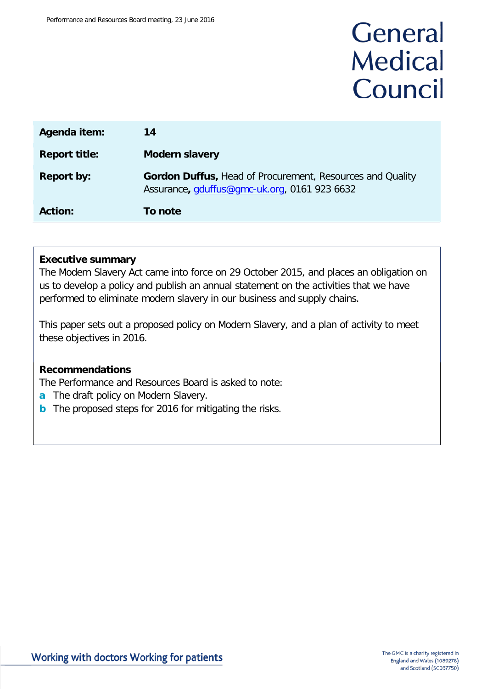# General **Medical** Council

| Agenda item:         | 14                                                                                                               |
|----------------------|------------------------------------------------------------------------------------------------------------------|
| <b>Report title:</b> | <b>Modern slavery</b>                                                                                            |
| <b>Report by:</b>    | <b>Gordon Duffus, Head of Procurement, Resources and Quality</b><br>Assurance, gduffus@gmc-uk.org, 0161 923 6632 |
| <b>Action:</b>       | To note                                                                                                          |

### **Executive summary**

The Modern Slavery Act came into force on 29 October 2015, and places an obligation on us to develop a policy and publish an annual statement on the activities that we have performed to eliminate modern slavery in our business and supply chains.

This paper sets out a proposed policy on Modern Slavery, and a plan of activity to meet these objectives in 2016.

### **Recommendations**

The Performance and Resources Board is asked to note:

- **a** The draft policy on Modern Slavery.
- **b** The proposed steps for 2016 for mitigating the risks.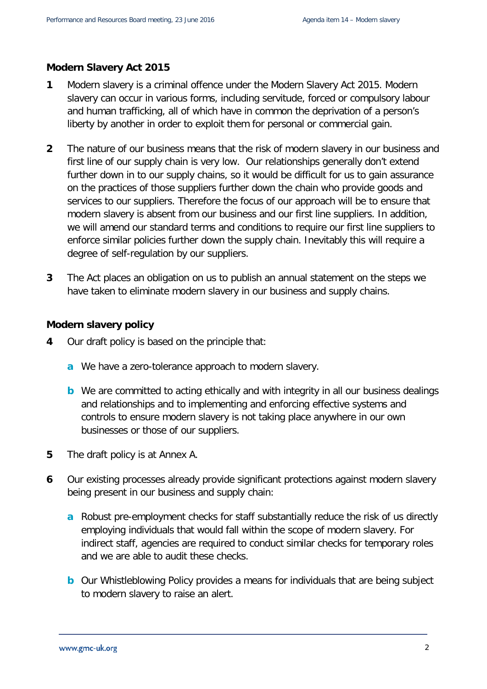### **Modern Slavery Act 2015**

- **1** Modern slavery is a criminal offence under the Modern Slavery Act 2015. Modern slavery can occur in various forms, including servitude, forced or compulsory labour and human trafficking, all of which have in common the deprivation of a person's liberty by another in order to exploit them for personal or commercial gain.
- **2** The nature of our business means that the risk of modern slavery in our business and first line of our supply chain is very low. Our relationships generally don't extend further down in to our supply chains, so it would be difficult for us to gain assurance on the practices of those suppliers further down the chain who provide goods and services to our suppliers. Therefore the focus of our approach will be to ensure that modern slavery is absent from our business and our first line suppliers. In addition, we will amend our standard terms and conditions to require our first line suppliers to enforce similar policies further down the supply chain. Inevitably this will require a degree of self-regulation by our suppliers.
- **3** The Act places an obligation on us to publish an annual statement on the steps we have taken to eliminate modern slavery in our business and supply chains.

#### **Modern slavery policy**

- **4** Our draft policy is based on the principle that:
	- **a** We have a zero-tolerance approach to modern slavery.
	- **b** We are committed to acting ethically and with integrity in all our business dealings and relationships and to implementing and enforcing effective systems and controls to ensure modern slavery is not taking place anywhere in our own businesses or those of our suppliers.
- **5** The draft policy is at Annex A.
- **6** Our existing processes already provide significant protections against modern slavery being present in our business and supply chain:
	- **a** Robust pre-employment checks for staff substantially reduce the risk of us directly employing individuals that would fall within the scope of modern slavery. For indirect staff, agencies are required to conduct similar checks for temporary roles and we are able to audit these checks.
	- **b** Our Whistleblowing Policy provides a means for individuals that are being subject to modern slavery to raise an alert.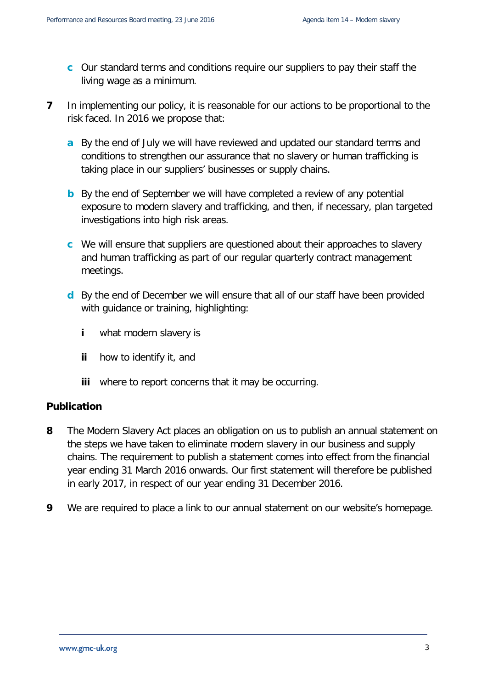- **c** Our standard terms and conditions require our suppliers to pay their staff the living wage as a minimum.
- **7** In implementing our policy, it is reasonable for our actions to be proportional to the risk faced. In 2016 we propose that:
	- **a** By the end of July we will have reviewed and updated our standard terms and conditions to strengthen our assurance that no slavery or human trafficking is taking place in our suppliers' businesses or supply chains.
	- **b** By the end of September we will have completed a review of any potential exposure to modern slavery and trafficking, and then, if necessary, plan targeted investigations into high risk areas.
	- **c** We will ensure that suppliers are questioned about their approaches to slavery and human trafficking as part of our regular quarterly contract management meetings.
	- **d** By the end of December we will ensure that all of our staff have been provided with guidance or training, highlighting:
		- **i** what modern slavery is
		- **ii** how to identify it, and
		- **iii** where to report concerns that it may be occurring.

### **Publication**

- **8** The Modern Slavery Act places an obligation on us to publish an annual statement on the steps we have taken to eliminate modern slavery in our business and supply chains. The requirement to publish a statement comes into effect from the financial year ending 31 March 2016 onwards. Our first statement will therefore be published in early 2017, in respect of our year ending 31 December 2016.
- **9** We are required to place a link to our annual statement on our website's homepage.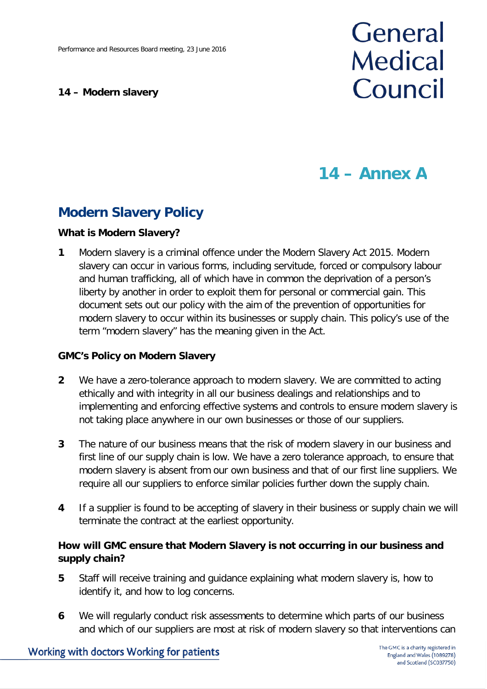### **14 – Modern slavery**

# General **Medical** Council

## **14 – Annex A**

### **Modern Slavery Policy**

### **What is Modern Slavery?**

**1** Modern slavery is a criminal offence under the Modern Slavery Act 2015. Modern slavery can occur in various forms, including servitude, forced or compulsory labour and human trafficking, all of which have in common the deprivation of a person's liberty by another in order to exploit them for personal or commercial gain. This document sets out our policy with the aim of the prevention of opportunities for modern slavery to occur within its businesses or supply chain. This policy's use of the term "modern slavery" has the meaning given in the Act.

### **GMC's Policy on Modern Slavery**

- **2** We have a zero-tolerance approach to modern slavery. We are committed to acting ethically and with integrity in all our business dealings and relationships and to implementing and enforcing effective systems and controls to ensure modern slavery is not taking place anywhere in our own businesses or those of our suppliers.
- **3** The nature of our business means that the risk of modern slavery in our business and first line of our supply chain is low. We have a zero tolerance approach, to ensure that modern slavery is absent from our own business and that of our first line suppliers. We require all our suppliers to enforce similar policies further down the supply chain.
- **4** If a supplier is found to be accepting of slavery in their business or supply chain we will terminate the contract at the earliest opportunity.

### **How will GMC ensure that Modern Slavery is not occurring in our business and supply chain?**

- **5** Staff will receive training and guidance explaining what modern slavery is, how to identify it, and how to log concerns.
- **6** We will regularly conduct risk assessments to determine which parts of our business and which of our suppliers are most at risk of modern slavery so that interventions can